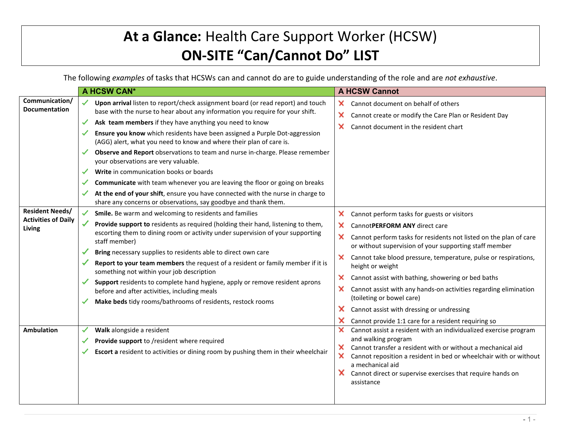## **At a Glance:** Health Care Support Worker (HCSW) **ON-SITE "Can/Cannot Do" LIST**

The following *examples* of tasks that HCSWs can and cannot do are to guide understanding of the role and are *not exhaustive*.

|                                                                  | A HCSW CAN*                                                                                                                                                                                                                                                                                                                                                                                                                                                                                                                                                                                                                                                                                                                                                                                                      | <b>A HCSW Cannot</b>                                                                                                                                                                                                                                                                                                                                                                                                                                                                                                                                                                                    |
|------------------------------------------------------------------|------------------------------------------------------------------------------------------------------------------------------------------------------------------------------------------------------------------------------------------------------------------------------------------------------------------------------------------------------------------------------------------------------------------------------------------------------------------------------------------------------------------------------------------------------------------------------------------------------------------------------------------------------------------------------------------------------------------------------------------------------------------------------------------------------------------|---------------------------------------------------------------------------------------------------------------------------------------------------------------------------------------------------------------------------------------------------------------------------------------------------------------------------------------------------------------------------------------------------------------------------------------------------------------------------------------------------------------------------------------------------------------------------------------------------------|
| Communication/<br><b>Documentation</b><br><b>Resident Needs/</b> | Upon arrival listen to report/check assignment board (or read report) and touch<br>✓<br>base with the nurse to hear about any information you require for your shift.<br>Ask team members if they have anything you need to know<br>✓<br>Ensure you know which residents have been assigned a Purple Dot-aggression<br>(AGG) alert, what you need to know and where their plan of care is.<br>Observe and Report observations to team and nurse in-charge. Please remember<br>your observations are very valuable.<br>Write in communication books or boards<br>✓<br>Communicate with team whenever you are leaving the floor or going on breaks<br>✓<br>At the end of your shift, ensure you have connected with the nurse in charge to<br>✓<br>share any concerns or observations, say goodbye and thank them. | ×.<br>Cannot document on behalf of others<br>×<br>Cannot create or modify the Care Plan or Resident Day<br>×<br>Cannot document in the resident chart                                                                                                                                                                                                                                                                                                                                                                                                                                                   |
| <b>Activities of Daily</b><br><b>Living</b>                      | Smile. Be warm and welcoming to residents and families<br>Provide support to residents as required (holding their hand, listening to them,<br>escorting them to dining room or activity under supervision of your supporting<br>staff member)<br>Bring necessary supplies to residents able to direct own care<br>Report to your team members the request of a resident or family member if it is<br>something not within your job description<br>Support residents to complete hand hygiene, apply or remove resident aprons<br>before and after activities, including meals<br>Make beds tidy rooms/bathrooms of residents, restock rooms                                                                                                                                                                      | ×.<br>Cannot perform tasks for guests or visitors<br>×<br>CannotPERFORM ANY direct care<br>×<br>Cannot perform tasks for residents not listed on the plan of care<br>or without supervision of your supporting staff member<br>Cannot take blood pressure, temperature, pulse or respirations,<br>×.<br>height or weight<br>x<br>Cannot assist with bathing, showering or bed baths<br>×<br>Cannot assist with any hands-on activities regarding elimination<br>(toileting or bowel care)<br>×<br>Cannot assist with dressing or undressing<br>×<br>Cannot provide 1:1 care for a resident requiring so |
| <b>Ambulation</b>                                                | Walk alongside a resident<br>Provide support to /resident where required<br>✓<br>Escort a resident to activities or dining room by pushing them in their wheelchair                                                                                                                                                                                                                                                                                                                                                                                                                                                                                                                                                                                                                                              | ×<br>Cannot assist a resident with an individualized exercise program<br>and walking program<br>Cannot transfer a resident with or without a mechanical aid<br>X.<br>×.<br>Cannot reposition a resident in bed or wheelchair with or without<br>a mechanical aid<br>Cannot direct or supervise exercises that require hands on<br>assistance                                                                                                                                                                                                                                                            |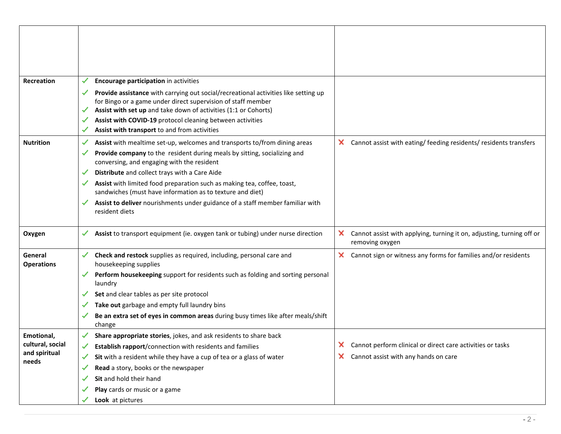| <b>Recreation</b>                                        | Encourage participation in activities                                                                                                                                                                                                                                                                                                                                                                                                                                                                               |                                                                                                         |
|----------------------------------------------------------|---------------------------------------------------------------------------------------------------------------------------------------------------------------------------------------------------------------------------------------------------------------------------------------------------------------------------------------------------------------------------------------------------------------------------------------------------------------------------------------------------------------------|---------------------------------------------------------------------------------------------------------|
|                                                          | Provide assistance with carrying out social/recreational activities like setting up<br>for Bingo or a game under direct supervision of staff member<br>Assist with set up and take down of activities (1:1 or Cohorts)<br>✓<br>Assist with COVID-19 protocol cleaning between activities<br>✓<br>Assist with transport to and from activities<br>✓                                                                                                                                                                  |                                                                                                         |
| <b>Nutrition</b>                                         | Assist with mealtime set-up, welcomes and transports to/from dining areas<br>✓<br>Provide company to the resident during meals by sitting, socializing and<br>✓<br>conversing, and engaging with the resident<br>Distribute and collect trays with a Care Aide<br>✓<br>Assist with limited food preparation such as making tea, coffee, toast,<br>sandwiches (must have information as to texture and diet)<br>Assist to deliver nourishments under guidance of a staff member familiar with<br>✓<br>resident diets | $\times$ Cannot assist with eating/ feeding residents/ residents transfers                              |
| Oxygen                                                   | Assist to transport equipment (ie. oxygen tank or tubing) under nurse direction<br>✓                                                                                                                                                                                                                                                                                                                                                                                                                                | ×<br>Cannot assist with applying, turning it on, adjusting, turning off or<br>removing oxygen           |
| General<br><b>Operations</b>                             | Check and restock supplies as required, including, personal care and<br>housekeeping supplies<br>Perform housekeeping support for residents such as folding and sorting personal<br>laundry<br>Set and clear tables as per site protocol<br>Take out garbage and empty full laundry bins<br>✓<br>Be an extra set of eyes in common areas during busy times like after meals/shift                                                                                                                                   | x<br>Cannot sign or witness any forms for families and/or residents                                     |
|                                                          | change                                                                                                                                                                                                                                                                                                                                                                                                                                                                                                              |                                                                                                         |
| Emotional,<br>cultural, social<br>and spiritual<br>needs | Share appropriate stories, jokes, and ask residents to share back<br>Establish rapport/connection with residents and families<br>✓<br>Sit with a resident while they have a cup of tea or a glass of water<br>✓<br>Read a story, books or the newspaper<br>✓<br>Sit and hold their hand<br>✔                                                                                                                                                                                                                        | Cannot perform clinical or direct care activities or tasks<br>Cannot assist with any hands on care<br>× |
|                                                          | Play cards or music or a game<br>✓<br>Look at pictures                                                                                                                                                                                                                                                                                                                                                                                                                                                              |                                                                                                         |